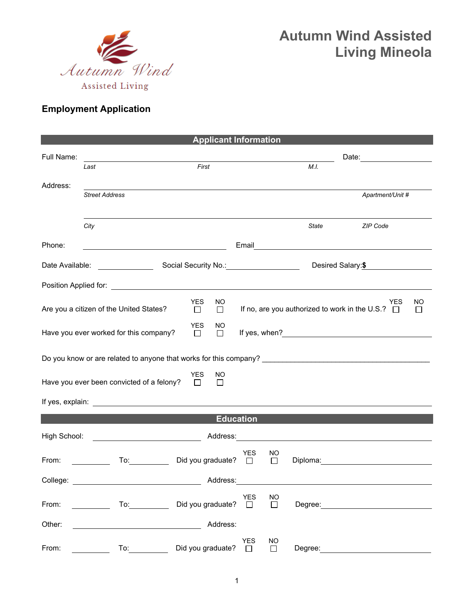

## **Autumn Wind Assisted Living Mineola**

## **Employment Application**

| <b>Applicant Information</b>                                                    |                                                                                                                                                                                                                                      |                             |               |            |                     |              |                                                                                                                                                                                                                                |    |
|---------------------------------------------------------------------------------|--------------------------------------------------------------------------------------------------------------------------------------------------------------------------------------------------------------------------------------|-----------------------------|---------------|------------|---------------------|--------------|--------------------------------------------------------------------------------------------------------------------------------------------------------------------------------------------------------------------------------|----|
| Full Name:                                                                      |                                                                                                                                                                                                                                      |                             |               |            |                     |              |                                                                                                                                                                                                                                |    |
|                                                                                 | Last                                                                                                                                                                                                                                 | First                       |               |            |                     | M.L.         | Date: _________________                                                                                                                                                                                                        |    |
| Address:                                                                        |                                                                                                                                                                                                                                      |                             |               |            |                     |              |                                                                                                                                                                                                                                |    |
|                                                                                 | <b>Street Address</b>                                                                                                                                                                                                                |                             |               |            |                     |              | Apartment/Unit #                                                                                                                                                                                                               |    |
|                                                                                 |                                                                                                                                                                                                                                      |                             |               |            |                     |              |                                                                                                                                                                                                                                |    |
|                                                                                 | City                                                                                                                                                                                                                                 |                             |               |            |                     | <b>State</b> | ZIP Code                                                                                                                                                                                                                       |    |
| Phone:                                                                          | <u> 1980 - Johann Barbara, martin amerikan basar da</u>                                                                                                                                                                              |                             |               |            |                     |              |                                                                                                                                                                                                                                |    |
|                                                                                 |                                                                                                                                                                                                                                      |                             |               |            |                     |              | Desired Salary:\$                                                                                                                                                                                                              |    |
|                                                                                 | Position Applied for: <u>contract the contract of the contract of the contract of the contract of the contract of the contract of the contract of the contract of the contract of the contract of the contract of the contract o</u> |                             |               |            |                     |              |                                                                                                                                                                                                                                |    |
|                                                                                 | Are you a citizen of the United States?                                                                                                                                                                                              | <b>YES</b><br>$\Box$        | NO.<br>$\Box$ |            |                     |              | YES<br>If no, are you authorized to work in the U.S.? $\Box$                                                                                                                                                                   | NO |
| <b>YES</b><br>NO.<br>Have you ever worked for this company?<br>$\Box$<br>$\Box$ |                                                                                                                                                                                                                                      |                             |               |            |                     |              |                                                                                                                                                                                                                                |    |
|                                                                                 |                                                                                                                                                                                                                                      |                             |               |            |                     |              |                                                                                                                                                                                                                                |    |
| YES<br>NO.<br>Have you ever been convicted of a felony?<br>$\Box$<br>$\Box$     |                                                                                                                                                                                                                                      |                             |               |            |                     |              |                                                                                                                                                                                                                                |    |
|                                                                                 |                                                                                                                                                                                                                                      |                             |               |            |                     |              |                                                                                                                                                                                                                                |    |
| <b>Education</b>                                                                |                                                                                                                                                                                                                                      |                             |               |            |                     |              |                                                                                                                                                                                                                                |    |
| High School:                                                                    |                                                                                                                                                                                                                                      |                             |               |            |                     |              |                                                                                                                                                                                                                                |    |
|                                                                                 |                                                                                                                                                                                                                                      |                             |               | <b>YES</b> | NO                  |              |                                                                                                                                                                                                                                |    |
| From:                                                                           | To: the contract of the contract of the contract of the contract of the contract of the contract of the contract of the contract of the contract of the contract of the contract of the contract of the contract of the contra       | Did you graduate? □         |               |            | $\Box$              |              | Diploma: the control of the control of the control of the control of the control of the control of the control of the control of the control of the control of the control of the control of the control of the control of the |    |
| College:                                                                        |                                                                                                                                                                                                                                      |                             | Address:      |            |                     |              |                                                                                                                                                                                                                                |    |
| From:                                                                           | $\mathsf{To:}\qquad\qquad\qquad\qquad\qquad$<br><u> 1999 - Jan Barnett, p</u>                                                                                                                                                        | YES<br>Did you graduate? □  |               |            | $\overline{\Box}$   |              |                                                                                                                                                                                                                                |    |
| Other:                                                                          |                                                                                                                                                                                                                                      |                             | Address:      |            |                     |              |                                                                                                                                                                                                                                |    |
| From:                                                                           | To: the contract of the contract of the contract of the contract of the contract of the contract of the contract of the contract of the contract of the contract of the contract of the contract of the contract of the contra       | Did you graduate? $\square$ |               | <b>YES</b> | <b>NO</b><br>$\Box$ | Degree:      |                                                                                                                                                                                                                                |    |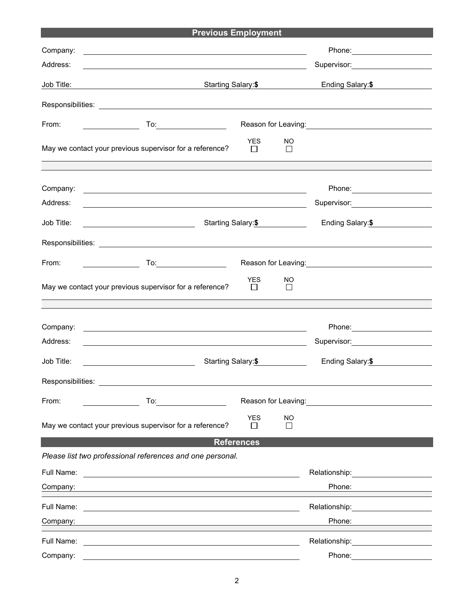|                                                           | <b>Previous Employment</b>                                                                                                                                                                                                     |                       |                    |                                                                                                                                                                                                                                |  |  |
|-----------------------------------------------------------|--------------------------------------------------------------------------------------------------------------------------------------------------------------------------------------------------------------------------------|-----------------------|--------------------|--------------------------------------------------------------------------------------------------------------------------------------------------------------------------------------------------------------------------------|--|--|
| Company:                                                  | <u> 1989 - Johann Harry Harry Harry Harry Harry Harry Harry Harry Harry Harry Harry Harry Harry Harry Harry Harry</u>                                                                                                          |                       |                    | Phone: Note and the set of the set of the set of the set of the set of the set of the set of the set of the set of the set of the set of the set of the set of the set of the set of the set of the set of the set of the set  |  |  |
| Address:                                                  | <u> 1980 - Johann Stein, fransk politik (f. 1980)</u>                                                                                                                                                                          |                       |                    | Supervisor: <b>Example 2019</b>                                                                                                                                                                                                |  |  |
| Job Title:                                                | <u> 1989 - Johann Stoff, deutscher Stoffen und der Stoffen und der Stoffen und der Stoffen und der Stoffen und der</u>                                                                                                         | Starting Salary:\$    |                    |                                                                                                                                                                                                                                |  |  |
|                                                           |                                                                                                                                                                                                                                |                       |                    |                                                                                                                                                                                                                                |  |  |
| From:                                                     |                                                                                                                                                                                                                                |                       |                    | Reason for Leaving:<br><u> Conserver</u>                                                                                                                                                                                       |  |  |
|                                                           | May we contact your previous supervisor for a reference?                                                                                                                                                                       | <b>YES</b><br>$\perp$ | NO<br>$\Box$       |                                                                                                                                                                                                                                |  |  |
| Company:                                                  | <u> 1980 - Johann Barn, fransk politik formuler (d. 1980)</u>                                                                                                                                                                  |                       |                    | Phone: 2000 2000 2010 2010 2010 2010 2021 2022 2023 2024 2025 2020 2021 2022 2023 2021 2022 2023 2024 2025 20                                                                                                                  |  |  |
| Address:                                                  | <u> 1989 - Johann Stoff, deutscher Stoffen und der Stoffen und der Stoffen und der Stoffen und der Stoffen und der</u>                                                                                                         |                       |                    | Supervisor: Victor Control of Control Control Control Control Control Control Control Control Control Control Co                                                                                                               |  |  |
| Job Title:                                                | <u> 1990 - Johann Barbara, martin a</u>                                                                                                                                                                                        |                       | Starting Salary:\$ | Ending Salary:\$                                                                                                                                                                                                               |  |  |
|                                                           |                                                                                                                                                                                                                                |                       |                    |                                                                                                                                                                                                                                |  |  |
| From:                                                     | $\mathsf{To:}\qquad \qquad \qquad \qquad \qquad \qquad \qquad \qquad$                                                                                                                                                          |                       |                    | Reason for Leaving: Management Control of Reason for Leaving:                                                                                                                                                                  |  |  |
|                                                           | May we contact your previous supervisor for a reference?                                                                                                                                                                       | <b>YES</b><br>$\perp$ | NO<br>$\perp$      |                                                                                                                                                                                                                                |  |  |
|                                                           |                                                                                                                                                                                                                                |                       |                    |                                                                                                                                                                                                                                |  |  |
| Company:                                                  | <u> 1989 - Johann Barn, amerikan besteman besteman besteman besteman besteman besteman besteman besteman besteman</u>                                                                                                          |                       |                    |                                                                                                                                                                                                                                |  |  |
| Address:                                                  | <u> 1989 - Johann Stoff, deutscher Stoffen und der Stoffen und der Stoffen und der Stoffen und der Stoffen und der</u>                                                                                                         |                       |                    |                                                                                                                                                                                                                                |  |  |
| Job Title:                                                | Starting Salary:\$<br><u> 1990 - Johann Barbara, martin a</u>                                                                                                                                                                  |                       |                    | Ending Salary:\$                                                                                                                                                                                                               |  |  |
|                                                           | Responsibilities: Note that the set of the set of the set of the set of the set of the set of the set of the set of the set of the set of the set of the set of the set of the set of the set of the set of the set of the set |                       |                    |                                                                                                                                                                                                                                |  |  |
| From:                                                     |                                                                                                                                                                                                                                |                       |                    |                                                                                                                                                                                                                                |  |  |
|                                                           | May we contact your previous supervisor for a reference?                                                                                                                                                                       | <b>YES</b><br>П       | NO<br>П            |                                                                                                                                                                                                                                |  |  |
| <b>References</b>                                         |                                                                                                                                                                                                                                |                       |                    |                                                                                                                                                                                                                                |  |  |
| Please list two professional references and one personal. |                                                                                                                                                                                                                                |                       |                    |                                                                                                                                                                                                                                |  |  |
| Full Name:                                                |                                                                                                                                                                                                                                |                       |                    | Relationship: <b>Example 2019</b>                                                                                                                                                                                              |  |  |
| Company:                                                  |                                                                                                                                                                                                                                |                       |                    | Phone:                                                                                                                                                                                                                         |  |  |
|                                                           |                                                                                                                                                                                                                                |                       |                    | Relationship: Website and Contract and Contract and Contract and Contract and Contract and Contract and Contract and Contract and Contract and Contract and Contract and Contract and Contract and Contract and Contract and C |  |  |
| Company:                                                  | the control of the control of the control of the control of the control of the control of the control of the control of the control of the control of the control of the control of the control of the control of the control  |                       |                    | Phone:                                                                                                                                                                                                                         |  |  |
| Full Name:                                                | <u> 1980 - Johann Barn, fransk politik (f. 1980)</u>                                                                                                                                                                           |                       |                    | Relationship: ____________________                                                                                                                                                                                             |  |  |
| Company:                                                  |                                                                                                                                                                                                                                |                       |                    | Phone:                                                                                                                                                                                                                         |  |  |